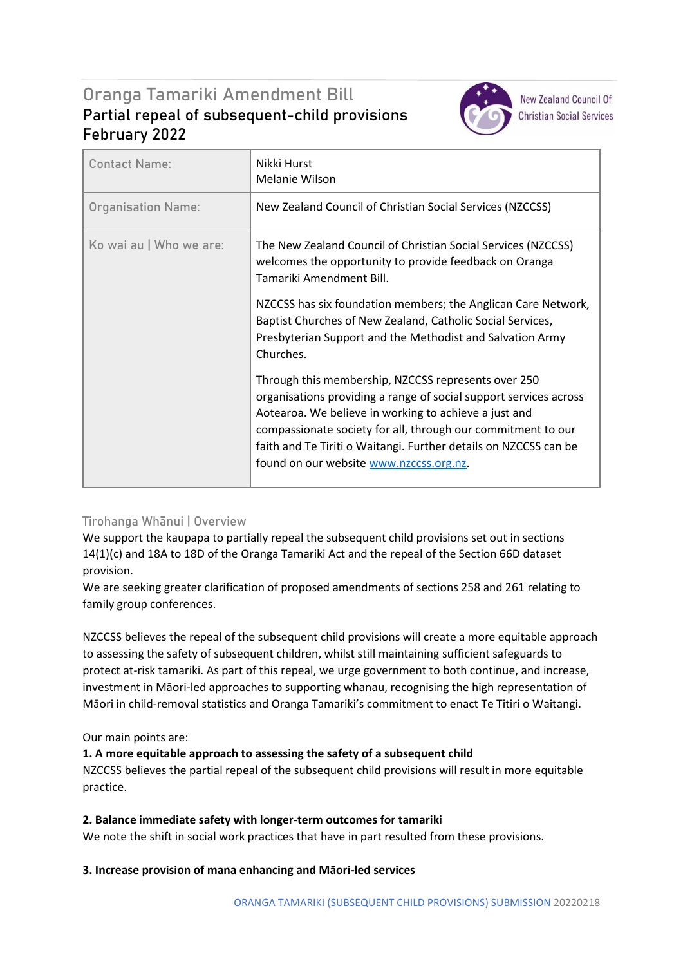# Oranga Tamariki Amendment Bill **Partial repeal of subsequent-child provisions February 2022**



**New Zealand Council Of Christian Social Services** 

| <b>Contact Name:</b>      | Nikki Hurst<br>Melanie Wilson                                                                                                                                                                                                                                                                                                                                    |
|---------------------------|------------------------------------------------------------------------------------------------------------------------------------------------------------------------------------------------------------------------------------------------------------------------------------------------------------------------------------------------------------------|
| <b>Organisation Name:</b> | New Zealand Council of Christian Social Services (NZCCSS)                                                                                                                                                                                                                                                                                                        |
| Ko wai au   Who we are:   | The New Zealand Council of Christian Social Services (NZCCSS)<br>welcomes the opportunity to provide feedback on Oranga<br>Tamariki Amendment Bill.                                                                                                                                                                                                              |
|                           | NZCCSS has six foundation members; the Anglican Care Network,<br>Baptist Churches of New Zealand, Catholic Social Services,<br>Presbyterian Support and the Methodist and Salvation Army<br>Churches.                                                                                                                                                            |
|                           | Through this membership, NZCCSS represents over 250<br>organisations providing a range of social support services across<br>Aotearoa. We believe in working to achieve a just and<br>compassionate society for all, through our commitment to our<br>faith and Te Tiriti o Waitangi. Further details on NZCCSS can be<br>found on our website www.nzccss.org.nz. |

# **Tirohanga Whānui | Overview**

We support the kaupapa to partially repeal the subsequent child provisions set out in sections 14(1)(c) and 18A to 18D of the Oranga Tamariki Act and the repeal of the Section 66D dataset provision.

We are seeking greater clarification of proposed amendments of sections 258 and 261 relating to family group conferences.

NZCCSS believes the repeal of the subsequent child provisions will create a more equitable approach to assessing the safety of subsequent children, whilst still maintaining sufficient safeguards to protect at-risk tamariki. As part of this repeal, we urge government to both continue, and increase, investment in Māori-led approaches to supporting whanau, recognising the high representation of Māori in child-removal statistics and Oranga Tamariki's commitment to enact Te Titiri o Waitangi.

# Our main points are:

# **1. A more equitable approach to assessing the safety of a subsequent child**

NZCCSS believes the partial repeal of the subsequent child provisions will result in more equitable practice.

## **2. Balance immediate safety with longer-term outcomes for tamariki**

We note the shift in social work practices that have in part resulted from these provisions.

## **3. Increase provision of mana enhancing and Māori-led services**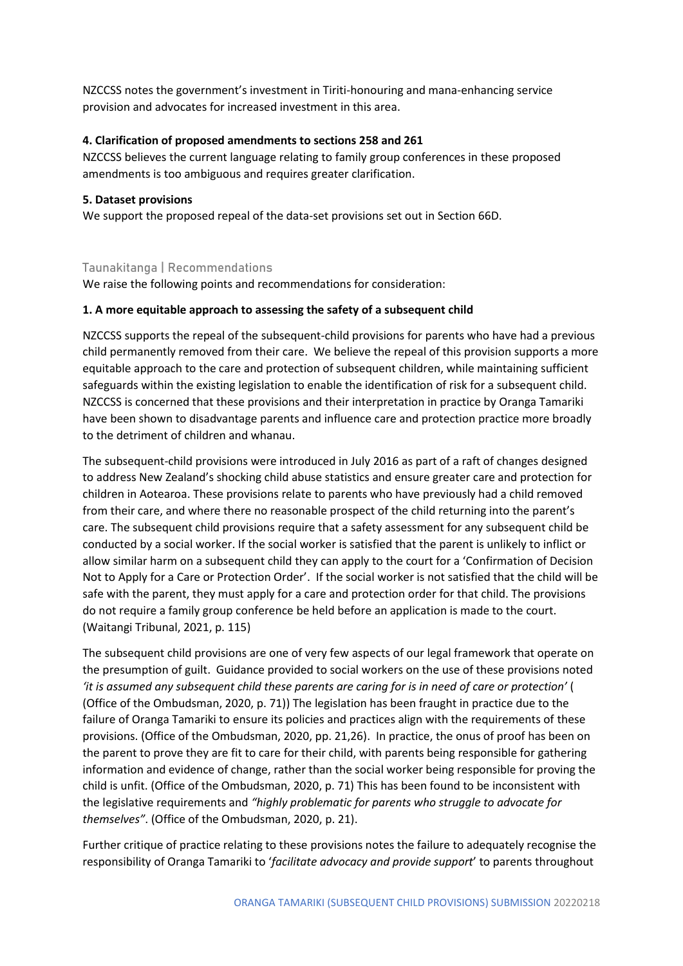NZCCSS notes the government's investment in Tiriti-honouring and mana-enhancing service provision and advocates for increased investment in this area.

#### **4. Clarification of proposed amendments to sections 258 and 261**

NZCCSS believes the current language relating to family group conferences in these proposed amendments is too ambiguous and requires greater clarification.

#### **5. Dataset provisions**

We support the proposed repeal of the data-set provisions set out in Section 66D.

## **Taunakitanga | Recommendations**

We raise the following points and recommendations for consideration:

#### **1. A more equitable approach to assessing the safety of a subsequent child**

NZCCSS supports the repeal of the subsequent-child provisions for parents who have had a previous child permanently removed from their care. We believe the repeal of this provision supports a more equitable approach to the care and protection of subsequent children, while maintaining sufficient safeguards within the existing legislation to enable the identification of risk for a subsequent child. NZCCSS is concerned that these provisions and their interpretation in practice by Oranga Tamariki have been shown to disadvantage parents and influence care and protection practice more broadly to the detriment of children and whanau.

The subsequent-child provisions were introduced in July 2016 as part of a raft of changes designed to address New Zealand's shocking child abuse statistics and ensure greater care and protection for children in Aotearoa. These provisions relate to parents who have previously had a child removed from their care, and where there no reasonable prospect of the child returning into the parent's care. The subsequent child provisions require that a safety assessment for any subsequent child be conducted by a social worker. If the social worker is satisfied that the parent is unlikely to inflict or allow similar harm on a subsequent child they can apply to the court for a 'Confirmation of Decision Not to Apply for a Care or Protection Order'. If the social worker is not satisfied that the child will be safe with the parent, they must apply for a care and protection order for that child. The provisions do not require a family group conference be held before an application is made to the court. (Waitangi Tribunal, 2021, p. 115)

The subsequent child provisions are one of very few aspects of our legal framework that operate on the presumption of guilt. Guidance provided to social workers on the use of these provisions noted *'it is assumed any subsequent child these parents are caring for is in need of care or protection'* ( (Office of the Ombudsman, 2020, p. 71)) The legislation has been fraught in practice due to the failure of Oranga Tamariki to ensure its policies and practices align with the requirements of these provisions. (Office of the Ombudsman, 2020, pp. 21,26). In practice, the onus of proof has been on the parent to prove they are fit to care for their child, with parents being responsible for gathering information and evidence of change, rather than the social worker being responsible for proving the child is unfit. (Office of the Ombudsman, 2020, p. 71) This has been found to be inconsistent with the legislative requirements and *"highly problematic for parents who struggle to advocate for themselves"*. (Office of the Ombudsman, 2020, p. 21).

Further critique of practice relating to these provisions notes the failure to adequately recognise the responsibility of Oranga Tamariki to '*facilitate advocacy and provide support*' to parents throughout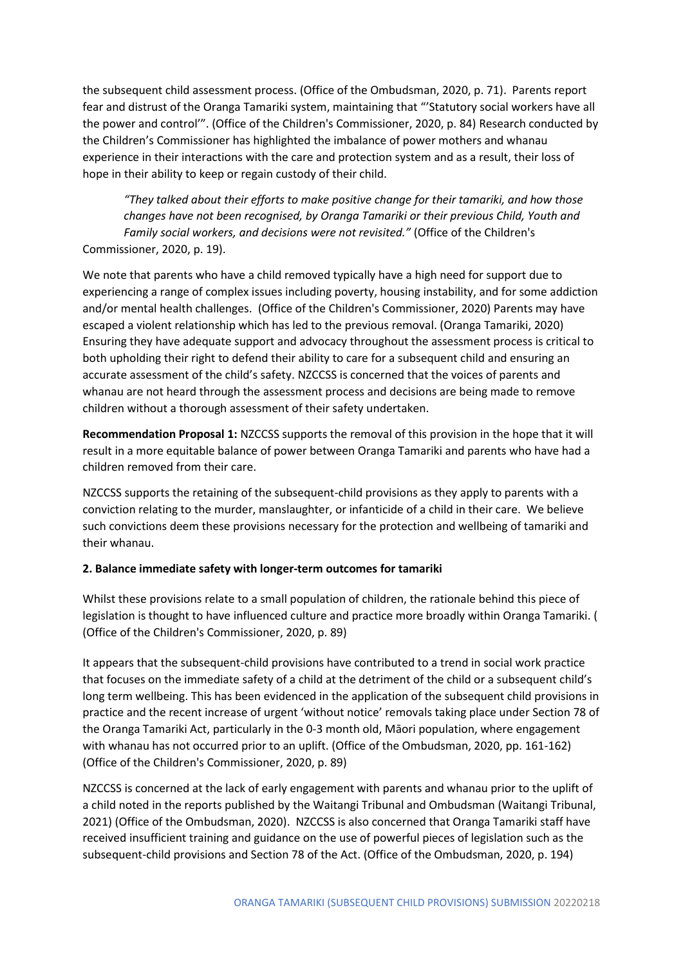the subsequent child assessment process. (Office of the Ombudsman, 2020, p. 71). Parents report fear and distrust of the Oranga Tamariki system, maintaining that "'Statutory social workers have all the power and control'". (Office of the Children's Commissioner, 2020, p. 84) Research conducted by the Children's Commissioner has highlighted the imbalance of power mothers and whanau experience in their interactions with the care and protection system and as a result, their loss of hope in their ability to keep or regain custody of their child.

*"They talked about their efforts to make positive change for their tamariki, and how those changes have not been recognised, by Oranga Tamariki or their previous Child, Youth and Family social workers, and decisions were not revisited."* (Office of the Children's Commissioner, 2020, p. 19).

We note that parents who have a child removed typically have a high need for support due to experiencing a range of complex issues including poverty, housing instability, and for some addiction and/or mental health challenges. (Office of the Children's Commissioner, 2020) Parents may have escaped a violent relationship which has led to the previous removal. (Oranga Tamariki, 2020) Ensuring they have adequate support and advocacy throughout the assessment process is critical to both upholding their right to defend their ability to care for a subsequent child and ensuring an accurate assessment of the child's safety. NZCCSS is concerned that the voices of parents and whanau are not heard through the assessment process and decisions are being made to remove children without a thorough assessment of their safety undertaken.

**Recommendation Proposal 1:** NZCCSS supports the removal of this provision in the hope that it will result in a more equitable balance of power between Oranga Tamariki and parents who have had a children removed from their care.

NZCCSS supports the retaining of the subsequent-child provisions as they apply to parents with a conviction relating to the murder, manslaughter, or infanticide of a child in their care. We believe such convictions deem these provisions necessary for the protection and wellbeing of tamariki and their whanau.

## **2. Balance immediate safety with longer-term outcomes for tamariki**

Whilst these provisions relate to a small population of children, the rationale behind this piece of legislation is thought to have influenced culture and practice more broadly within Oranga Tamariki. ( (Office of the Children's Commissioner, 2020, p. 89)

It appears that the subsequent-child provisions have contributed to a trend in social work practice that focuses on the immediate safety of a child at the detriment of the child or a subsequent child's long term wellbeing. This has been evidenced in the application of the subsequent child provisions in practice and the recent increase of urgent 'without notice' removals taking place under Section 78 of the Oranga Tamariki Act, particularly in the 0-3 month old, Māori population, where engagement with whanau has not occurred prior to an uplift. (Office of the Ombudsman, 2020, pp. 161-162) (Office of the Children's Commissioner, 2020, p. 89)

NZCCSS is concerned at the lack of early engagement with parents and whanau prior to the uplift of a child noted in the reports published by the Waitangi Tribunal and Ombudsman (Waitangi Tribunal, 2021) (Office of the Ombudsman, 2020). NZCCSS is also concerned that Oranga Tamariki staff have received insufficient training and guidance on the use of powerful pieces of legislation such as the subsequent-child provisions and Section 78 of the Act. (Office of the Ombudsman, 2020, p. 194)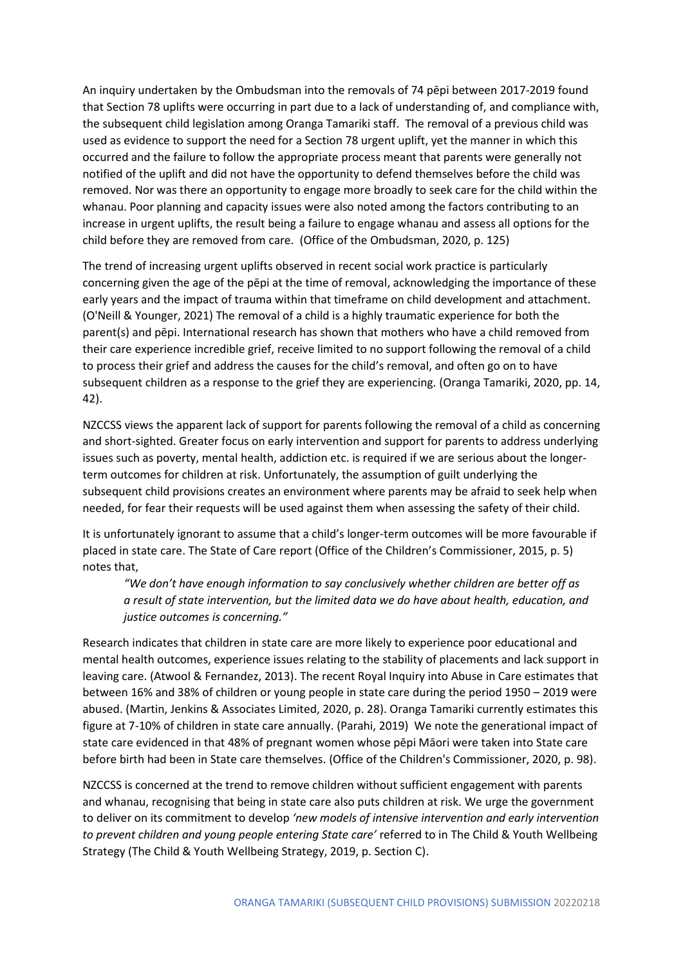An inquiry undertaken by the Ombudsman into the removals of 74 pēpi between 2017-2019 found that Section 78 uplifts were occurring in part due to a lack of understanding of, and compliance with, the subsequent child legislation among Oranga Tamariki staff. The removal of a previous child was used as evidence to support the need for a Section 78 urgent uplift, yet the manner in which this occurred and the failure to follow the appropriate process meant that parents were generally not notified of the uplift and did not have the opportunity to defend themselves before the child was removed. Nor was there an opportunity to engage more broadly to seek care for the child within the whanau. Poor planning and capacity issues were also noted among the factors contributing to an increase in urgent uplifts, the result being a failure to engage whanau and assess all options for the child before they are removed from care. (Office of the Ombudsman, 2020, p. 125)

The trend of increasing urgent uplifts observed in recent social work practice is particularly concerning given the age of the pēpi at the time of removal, acknowledging the importance of these early years and the impact of trauma within that timeframe on child development and attachment. (O'Neill & Younger, 2021) The removal of a child is a highly traumatic experience for both the parent(s) and pēpi. International research has shown that mothers who have a child removed from their care experience incredible grief, receive limited to no support following the removal of a child to process their grief and address the causes for the child's removal, and often go on to have subsequent children as a response to the grief they are experiencing. (Oranga Tamariki, 2020, pp. 14, 42).

NZCCSS views the apparent lack of support for parents following the removal of a child as concerning and short-sighted. Greater focus on early intervention and support for parents to address underlying issues such as poverty, mental health, addiction etc. is required if we are serious about the longerterm outcomes for children at risk. Unfortunately, the assumption of guilt underlying the subsequent child provisions creates an environment where parents may be afraid to seek help when needed, for fear their requests will be used against them when assessing the safety of their child.

It is unfortunately ignorant to assume that a child's longer-term outcomes will be more favourable if placed in state care. The State of Care report (Office of the Children's Commissioner, 2015, p. 5) notes that,

*"We don't have enough information to say conclusively whether children are better off as a result of state intervention, but the limited data we do have about health, education, and justice outcomes is concerning."*

Research indicates that children in state care are more likely to experience poor educational and mental health outcomes, experience issues relating to the stability of placements and lack support in leaving care. (Atwool & Fernandez, 2013). The recent Royal Inquiry into Abuse in Care estimates that between 16% and 38% of children or young people in state care during the period 1950 – 2019 were abused. (Martin, Jenkins & Associates Limited, 2020, p. 28). Oranga Tamariki currently estimates this figure at 7-10% of children in state care annually. (Parahi, 2019) We note the generational impact of state care evidenced in that 48% of pregnant women whose pēpi Māori were taken into State care before birth had been in State care themselves. (Office of the Children's Commissioner, 2020, p. 98).

NZCCSS is concerned at the trend to remove children without sufficient engagement with parents and whanau, recognising that being in state care also puts children at risk. We urge the government to deliver on its commitment to develop *'new models of intensive intervention and early intervention to prevent children and young people entering State care'* referred to in The Child & Youth Wellbeing Strategy (The Child & Youth Wellbeing Strategy, 2019, p. Section C).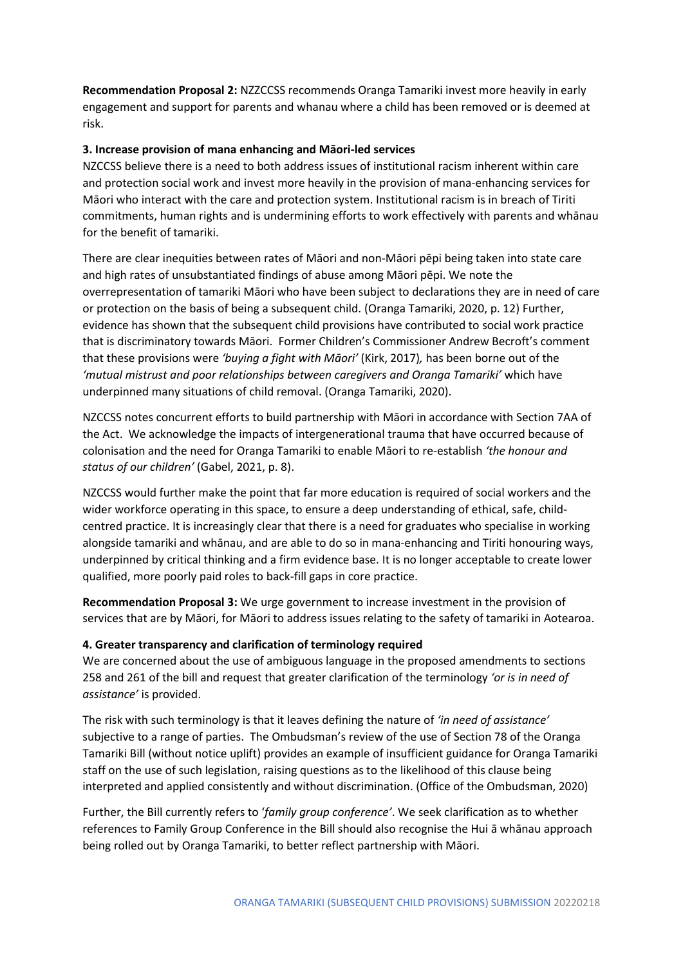**Recommendation Proposal 2:** NZZCCSS recommends Oranga Tamariki invest more heavily in early engagement and support for parents and whanau where a child has been removed or is deemed at risk.

## **3. Increase provision of mana enhancing and Māori-led services**

NZCCSS believe there is a need to both address issues of institutional racism inherent within care and protection social work and invest more heavily in the provision of mana-enhancing services for Māori who interact with the care and protection system. Institutional racism is in breach of Tiriti commitments, human rights and is undermining efforts to work effectively with parents and whānau for the benefit of tamariki.

There are clear inequities between rates of Māori and non-Māori pēpi being taken into state care and high rates of unsubstantiated findings of abuse among Māori pēpi. We note the overrepresentation of tamariki Māori who have been subject to declarations they are in need of care or protection on the basis of being a subsequent child. (Oranga Tamariki, 2020, p. 12) Further, evidence has shown that the subsequent child provisions have contributed to social work practice that is discriminatory towards Māori. Former Children's Commissioner Andrew Becroft's comment that these provisions were *'buying a fight with Māori'* (Kirk, 2017)*,* has been borne out of the *'mutual mistrust and poor relationships between caregivers and Oranga Tamariki'* which have underpinned many situations of child removal. (Oranga Tamariki, 2020).

NZCCSS notes concurrent efforts to build partnership with Māori in accordance with Section 7AA of the Act. We acknowledge the impacts of intergenerational trauma that have occurred because of colonisation and the need for Oranga Tamariki to enable Māori to re-establish *'the honour and status of our children'* (Gabel, 2021, p. 8).

NZCCSS would further make the point that far more education is required of social workers and the wider workforce operating in this space, to ensure a deep understanding of ethical, safe, childcentred practice. It is increasingly clear that there is a need for graduates who specialise in working alongside tamariki and whānau, and are able to do so in mana-enhancing and Tiriti honouring ways, underpinned by critical thinking and a firm evidence base. It is no longer acceptable to create lower qualified, more poorly paid roles to back-fill gaps in core practice.

**Recommendation Proposal 3:** We urge government to increase investment in the provision of services that are by Māori, for Māori to address issues relating to the safety of tamariki in Aotearoa.

#### **4. Greater transparency and clarification of terminology required**

We are concerned about the use of ambiguous language in the proposed amendments to sections 258 and 261 of the bill and request that greater clarification of the terminology *'or is in need of assistance'* is provided.

The risk with such terminology is that it leaves defining the nature of *'in need of assistance'* subjective to a range of parties. The Ombudsman's review of the use of Section 78 of the Oranga Tamariki Bill (without notice uplift) provides an example of insufficient guidance for Oranga Tamariki staff on the use of such legislation, raising questions as to the likelihood of this clause being interpreted and applied consistently and without discrimination. (Office of the Ombudsman, 2020)

Further, the Bill currently refers to '*family group conference'*. We seek clarification as to whether references to Family Group Conference in the Bill should also recognise the Hui ā whānau approach being rolled out by Oranga Tamariki, to better reflect partnership with Māori.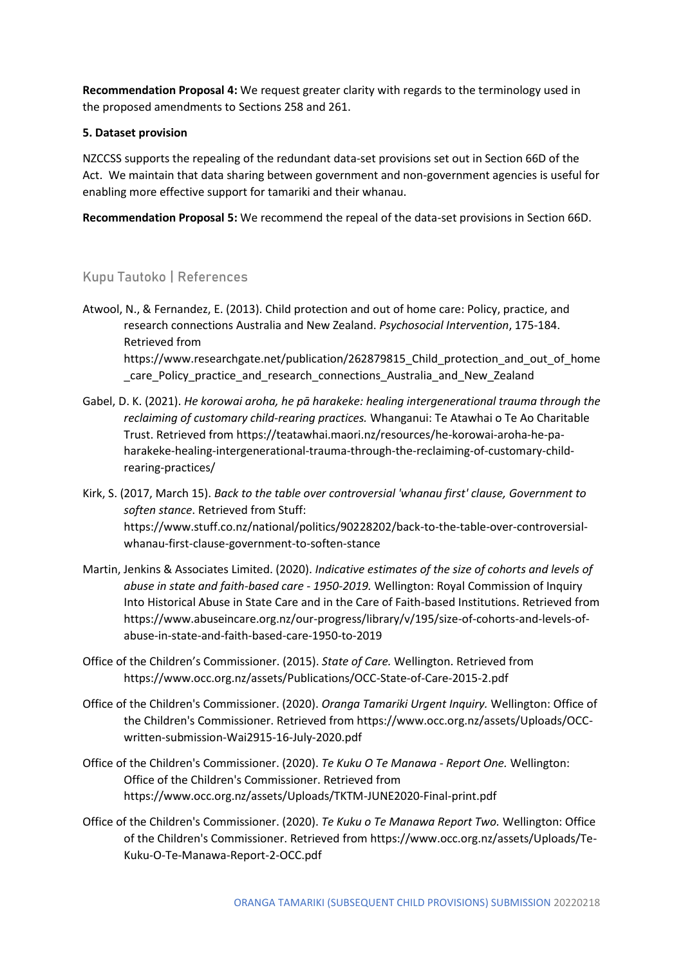**Recommendation Proposal 4:** We request greater clarity with regards to the terminology used in the proposed amendments to Sections 258 and 261.

## **5. Dataset provision**

NZCCSS supports the repealing of the redundant data-set provisions set out in Section 66D of the Act. We maintain that data sharing between government and non-government agencies is useful for enabling more effective support for tamariki and their whanau.

**Recommendation Proposal 5:** We recommend the repeal of the data-set provisions in Section 66D.

## Kupu Tautoko | References

- Atwool, N., & Fernandez, E. (2013). Child protection and out of home care: Policy, practice, and research connections Australia and New Zealand. *Psychosocial Intervention*, 175-184. Retrieved from https://www.researchgate.net/publication/262879815 Child protection and out of home care Policy practice and research connections Australia and New Zealand
- Gabel, D. K. (2021). *He korowai aroha, he pā harakeke: healing intergenerational trauma through the reclaiming of customary child-rearing practices.* Whanganui: Te Atawhai o Te Ao Charitable Trust. Retrieved from https://teatawhai.maori.nz/resources/he-korowai-aroha-he-paharakeke-healing-intergenerational-trauma-through-the-reclaiming-of-customary-childrearing-practices/
- Kirk, S. (2017, March 15). *Back to the table over controversial 'whanau first' clause, Government to soften stance*. Retrieved from Stuff: https://www.stuff.co.nz/national/politics/90228202/back-to-the-table-over-controversialwhanau-first-clause-government-to-soften-stance
- Martin, Jenkins & Associates Limited. (2020). *Indicative estimates of the size of cohorts and levels of abuse in state and faith-based care - 1950-2019.* Wellington: Royal Commission of Inquiry Into Historical Abuse in State Care and in the Care of Faith-based Institutions. Retrieved from https://www.abuseincare.org.nz/our-progress/library/v/195/size-of-cohorts-and-levels-ofabuse-in-state-and-faith-based-care-1950-to-2019
- Office of the Children's Commissioner. (2015). *State of Care.* Wellington. Retrieved from https://www.occ.org.nz/assets/Publications/OCC-State-of-Care-2015-2.pdf
- Office of the Children's Commissioner. (2020). *Oranga Tamariki Urgent Inquiry.* Wellington: Office of the Children's Commissioner. Retrieved from https://www.occ.org.nz/assets/Uploads/OCCwritten-submission-Wai2915-16-July-2020.pdf
- Office of the Children's Commissioner. (2020). *Te Kuku O Te Manawa - Report One.* Wellington: Office of the Children's Commissioner. Retrieved from https://www.occ.org.nz/assets/Uploads/TKTM-JUNE2020-Final-print.pdf
- Office of the Children's Commissioner. (2020). *Te Kuku o Te Manawa Report Two.* Wellington: Office of the Children's Commissioner. Retrieved from https://www.occ.org.nz/assets/Uploads/Te-Kuku-O-Te-Manawa-Report-2-OCC.pdf